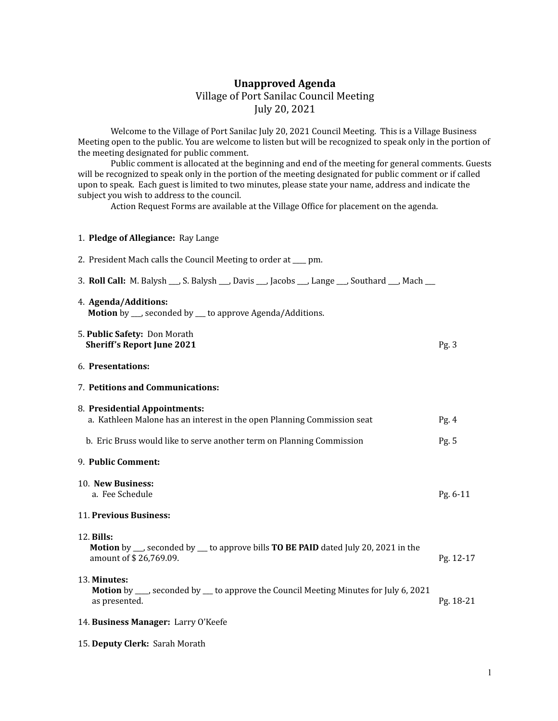## **Unapproved Agenda** Village of Port Sanilac Council Meeting July 20, 2021

Welcome to the Village of Port Sanilac July 20, 2021 Council Meeting. This is a Village Business Meeting open to the public. You are welcome to listen but will be recognized to speak only in the portion of the meeting designated for public comment.

Public comment is allocated at the beginning and end of the meeting for general comments. Guests will be recognized to speak only in the portion of the meeting designated for public comment or if called upon to speak. Each guest is limited to two minutes, please state your name, address and indicate the subject you wish to address to the council.

Action Request Forms are available at the Village Office for placement on the agenda.

| 1. Pledge of Allegiance: Ray Lange                                                                                                        |           |
|-------------------------------------------------------------------------------------------------------------------------------------------|-----------|
| 2. President Mach calls the Council Meeting to order at ___ pm.                                                                           |           |
| 3. Roll Call: M. Balysh __, S. Balysh __, Davis __, Jacobs __, Lange __, Southard __, Mach __                                             |           |
| 4. Agenda/Additions:<br><b>Motion</b> by ___, seconded by ___ to approve Agenda/Additions.                                                |           |
| 5. Public Safety: Don Morath<br><b>Sheriff's Report June 2021</b>                                                                         | Pg.3      |
| 6. Presentations:                                                                                                                         |           |
| 7. Petitions and Communications:                                                                                                          |           |
| 8. Presidential Appointments:<br>a. Kathleen Malone has an interest in the open Planning Commission seat                                  | Pg.4      |
| b. Eric Bruss would like to serve another term on Planning Commission                                                                     | Pg. 5     |
| 9. Public Comment:                                                                                                                        |           |
| 10. New Business:<br>a. Fee Schedule                                                                                                      | Pg. 6-11  |
| 11. Previous Business:                                                                                                                    |           |
| 12. Bills:<br><b>Motion</b> by __, seconded by __ to approve bills <b>TO BE PAID</b> dated July 20, 2021 in the<br>amount of \$26,769.09. | Pg. 12-17 |
| 13. Minutes:<br><b>Motion</b> by ___, seconded by ___ to approve the Council Meeting Minutes for July 6, 2021<br>as presented.            | Pg. 18-21 |
| 14. Business Manager: Larry O'Keefe                                                                                                       |           |

15. **Deputy Clerk:** Sarah Morath